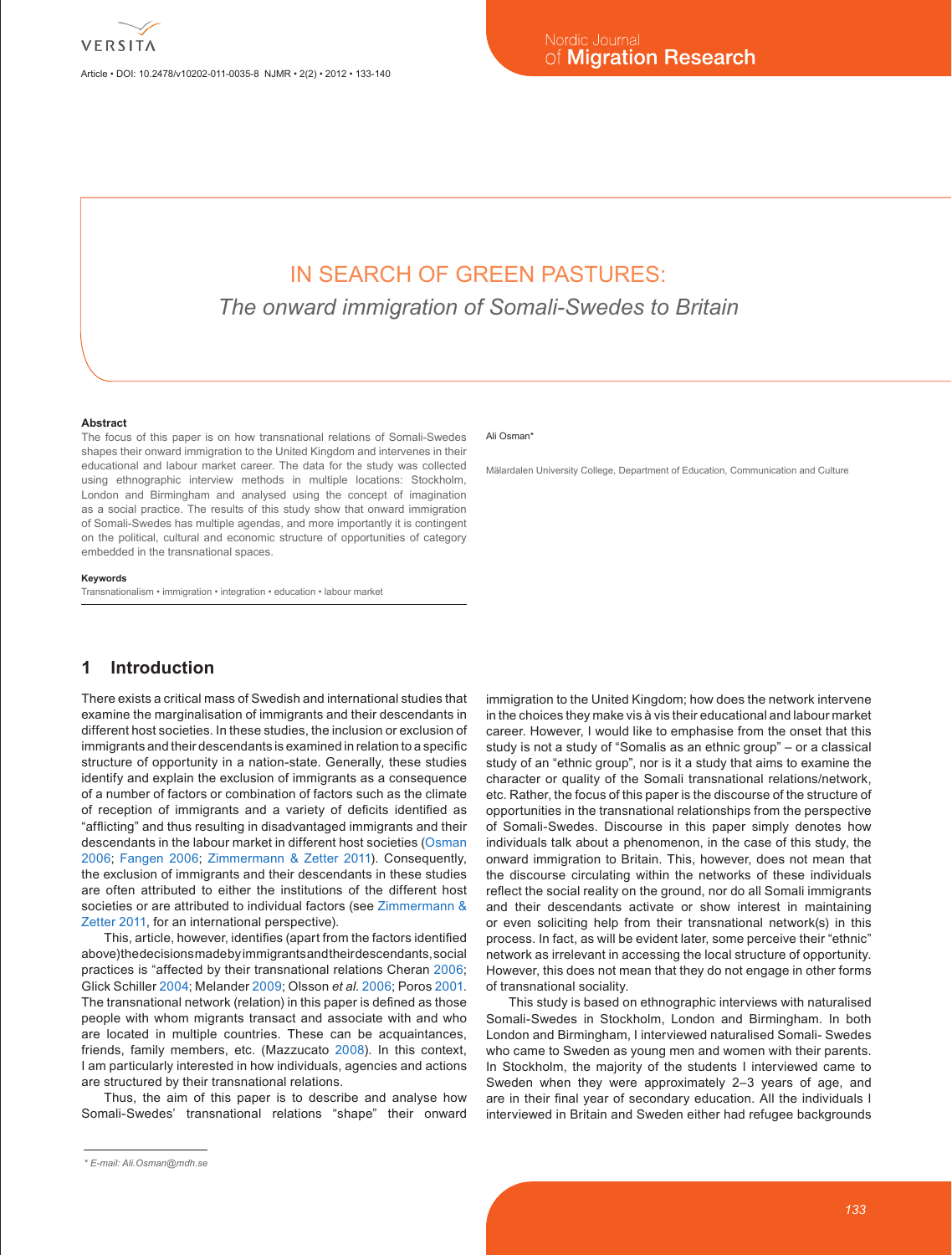

Article • DOI: 10.2478/v10202-011-0035-8 NJMR • 2(2) • 2012 • 133-140

# IN SEARCH OF GREEN PASTURES:

*The onward immigration of Somali-Swedes to Britain*

#### **Abstract**

The focus of this paper is on how transnational relations of Somali-Swedes shapes their onward immigration to the United Kingdom and intervenes in their educational and labour market career. The data for the study was collected using ethnographic interview methods in multiple locations: Stockholm, London and Birmingham and analysed using the concept of imagination as a social practice. The results of this study show that onward immigration of Somali-Swedes has multiple agendas, and more importantly it is contingent on the political, cultural and economic structure of opportunities of category embedded in the transnational spaces.

#### **Keywords**

Transnationalism • immigration • integration • education • labour market

### **1 Introduction**

There exists a critical mass of Swedish and international studies that examine the marginalisation of immigrants and their descendants in different host societies. In these studies, the inclusion or exclusion of immigrants and their descendants is examined in relation to a specific structure of opportunity in a nation-state. Generally, these studies identify and explain the exclusion of immigrants as a consequence of a number of factors or combination of factors such as the climate of reception of immigrants and a variety of deficits identified as "afflicting" and thus resulting in disadvantaged immigrants and their descendants in the labour market in different host societies [\(Osman](#page-7-0) [200](#page-7-0)6; [Fangen 200](#page-7-1)6; [Zimmermann & Zetter 2011](#page-7-2)). Consequently, the exclusion of immigrants and their descendants in these studies are often attributed to either the institutions of the different host societies or are attributed to individual factors (see [Zimmermann &](#page-7-2) [Zetter 2011,](#page-7-2) for an international perspective).

This, article, however, identifies (apart from the factors identified above) the decisions made by immigrants and their descendants, social practices is "affected by their transnational relations Cheran [200](#page-7-3)6; Glick Schiller [2004](#page-7-4); Melander [200](#page-7-5)9; Olsson *et al.* [200](#page-7-6)6; Poros [2001.](#page-7-7) The transnational network (relation) in this paper is defined as those people with whom migrants transact and associate with and who are located in multiple countries. These can be acquaintances, friends, family members, etc. (Mazzucato [2008\)](#page-7-8). In this context, I am particularly interested in how individuals, agencies and actions are structured by their transnational relations.

Thus, the aim of this paper is to describe and analyse how Somali-Swedes' transnational relations "shape" their onward

#### Ali Osman<sup>\*</sup>

Mälardalen University College, Department of Education, Communication and Culture

immigration to the United Kingdom; how does the network intervene in the choices they make vis à vis their educational and labour market career. However, I would like to emphasise from the onset that this study is not a study of "Somalis as an ethnic group" – or a classical study of an "ethnic group", nor is it a study that aims to examine the character or quality of the Somali transnational relations/network, etc. Rather, the focus of this paper is the discourse of the structure of opportunities in the transnational relationships from the perspective of Somali-Swedes. Discourse in this paper simply denotes how individuals talk about a phenomenon, in the case of this study, the onward immigration to Britain. This, however, does not mean that the discourse circulating within the networks of these individuals reflect the social reality on the ground, nor do all Somali immigrants and their descendants activate or show interest in maintaining or even soliciting help from their transnational network(s) in this process. In fact, as will be evident later, some perceive their "ethnic" network as irrelevant in accessing the local structure of opportunity. However, this does not mean that they do not engage in other forms of transnational sociality.

This study is based on ethnographic interviews with naturalised Somali-Swedes in Stockholm, London and Birmingham. In both London and Birmingham, I interviewed naturalised Somali- Swedes who came to Sweden as young men and women with their parents. In Stockholm, the majority of the students I interviewed came to Sweden when they were approximately 2–3 years of age, and are in their final year of secondary education. All the individuals I interviewed in Britain and Sweden either had refugee backgrounds

*<sup>\*</sup> E-mail: Ali.Osman@mdh.se*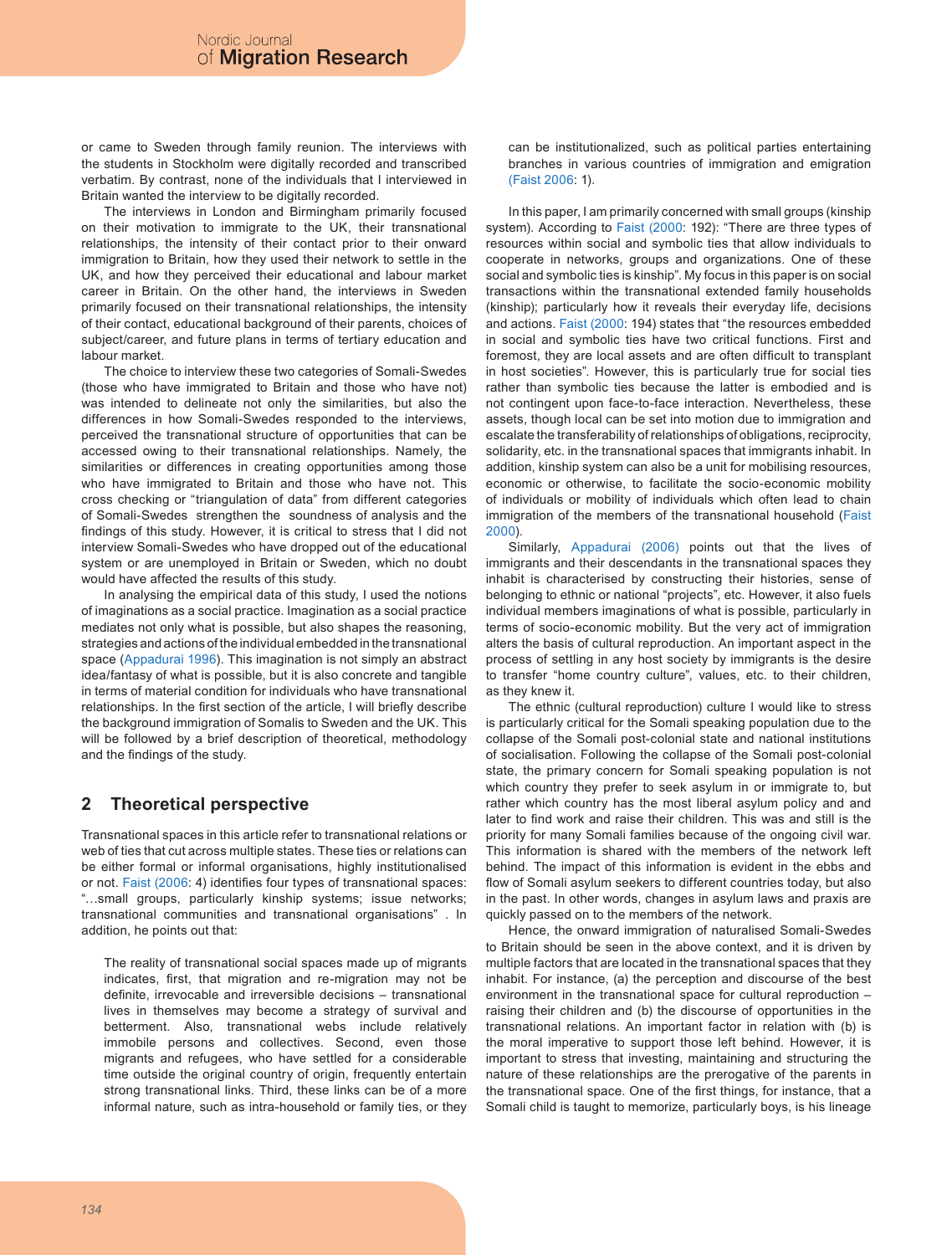or came to Sweden through family reunion. The interviews with the students in Stockholm were digitally recorded and transcribed verbatim. By contrast, none of the individuals that I interviewed in Britain wanted the interview to be digitally recorded.

The interviews in London and Birmingham primarily focused on their motivation to immigrate to the UK, their transnational relationships, the intensity of their contact prior to their onward immigration to Britain, how they used their network to settle in the UK, and how they perceived their educational and labour market career in Britain. On the other hand, the interviews in Sweden primarily focused on their transnational relationships, the intensity of their contact, educational background of their parents, choices of subject/career, and future plans in terms of tertiary education and labour market.

The choice to interview these two categories of Somali-Swedes (those who have immigrated to Britain and those who have not) was intended to delineate not only the similarities, but also the differences in how Somali-Swedes responded to the interviews, perceived the transnational structure of opportunities that can be accessed owing to their transnational relationships. Namely, the similarities or differences in creating opportunities among those who have immigrated to Britain and those who have not. This cross checking or "triangulation of data" from different categories of Somali-Swedes strengthen the soundness of analysis and the findings of this study. However, it is critical to stress that I did not interview Somali-Swedes who have dropped out of the educational system or are unemployed in Britain or Sweden, which no doubt would have affected the results of this study.

In analysing the empirical data of this study, I used the notions of imaginations as a social practice. Imagination as a social practice mediates not only what is possible, but also shapes the reasoning, strategies and actions of the individual embedded in the transnational space ([Appadurai 199](#page-7-9)6). This imagination is not simply an abstract idea/fantasy of what is possible, but it is also concrete and tangible in terms of material condition for individuals who have transnational relationships. In the first section of the article, I will briefly describe the background immigration of Somalis to Sweden and the UK. This will be followed by a brief description of theoretical, methodology and the findings of the study.

## **2 Theoretical perspective**

Transnational spaces in this article refer to transnational relations or web of ties that cut across multiple states. These ties or relations can be either formal or informal organisations, highly institutionalised or not. [Faist \(2006: 4\)](#page-7-10) identifies four types of transnational spaces: "…small groups, particularly kinship systems; issue networks; transnational communities and transnational organisations" . In addition, he points out that:

The reality of transnational social spaces made up of migrants indicates, first, that migration and re-migration may not be definite, irrevocable and irreversible decisions – transnational lives in themselves may become a strategy of survival and betterment. Also, transnational webs include relatively immobile persons and collectives. Second, even those migrants and refugees, who have settled for a considerable time outside the original country of origin, frequently entertain strong transnational links. Third, these links can be of a more informal nature, such as intra-household or family ties, or they can be institutionalized, such as political parties entertaining branches in various countries of immigration and emigration [\(Faist 2006: 1\)](#page-7-10).

In this paper, I am primarily concerned with small groups (kinship system). According to [Faist \(2000](#page-7-11): 192): "There are three types of resources within social and symbolic ties that allow individuals to cooperate in networks, groups and organizations. One of these social and symbolic ties is kinship". My focus in this paper is on social transactions within the transnational extended family households (kinship); particularly how it reveals their everyday life, decisions and actions. [Faist \(2000:](#page-7-11) 194) states that "the resources embedded in social and symbolic ties have two critical functions. First and foremost, they are local assets and are often difficult to transplant in host societies". However, this is particularly true for social ties rather than symbolic ties because the latter is embodied and is not contingent upon face-to-face interaction. Nevertheless, these assets, though local can be set into motion due to immigration and escalate the transferability of relationships of obligations, reciprocity, solidarity, etc. in the transnational spaces that immigrants inhabit. In addition, kinship system can also be a unit for mobilising resources, economic or otherwise, to facilitate the socio-economic mobility of individuals or mobility of individuals which often lead to chain immigration of the members of the transnational household ([Faist](#page-7-11) [2000](#page-7-11)).

Similarly, [Appadurai \(2006\)](#page-7-9) points out that the lives of immigrants and their descendants in the transnational spaces they inhabit is characterised by constructing their histories, sense of belonging to ethnic or national "projects", etc. However, it also fuels individual members imaginations of what is possible, particularly in terms of socio-economic mobility. But the very act of immigration alters the basis of cultural reproduction. An important aspect in the process of settling in any host society by immigrants is the desire to transfer "home country culture", values, etc. to their children, as they knew it.

The ethnic (cultural reproduction) culture I would like to stress is particularly critical for the Somali speaking population due to the collapse of the Somali post-colonial state and national institutions of socialisation. Following the collapse of the Somali post-colonial state, the primary concern for Somali speaking population is not which country they prefer to seek asylum in or immigrate to, but rather which country has the most liberal asylum policy and and later to find work and raise their children. This was and still is the priority for many Somali families because of the ongoing civil war. This information is shared with the members of the network left behind. The impact of this information is evident in the ebbs and flow of Somali asylum seekers to different countries today, but also in the past. In other words, changes in asylum laws and praxis are quickly passed on to the members of the network.

Hence, the onward immigration of naturalised Somali-Swedes to Britain should be seen in the above context, and it is driven by multiple factors that are located in the transnational spaces that they inhabit. For instance, (a) the perception and discourse of the best environment in the transnational space for cultural reproduction – raising their children and (b) the discourse of opportunities in the transnational relations. An important factor in relation with (b) is the moral imperative to support those left behind. However, it is important to stress that investing, maintaining and structuring the nature of these relationships are the prerogative of the parents in the transnational space. One of the first things, for instance, that a Somali child is taught to memorize, particularly boys, is his lineage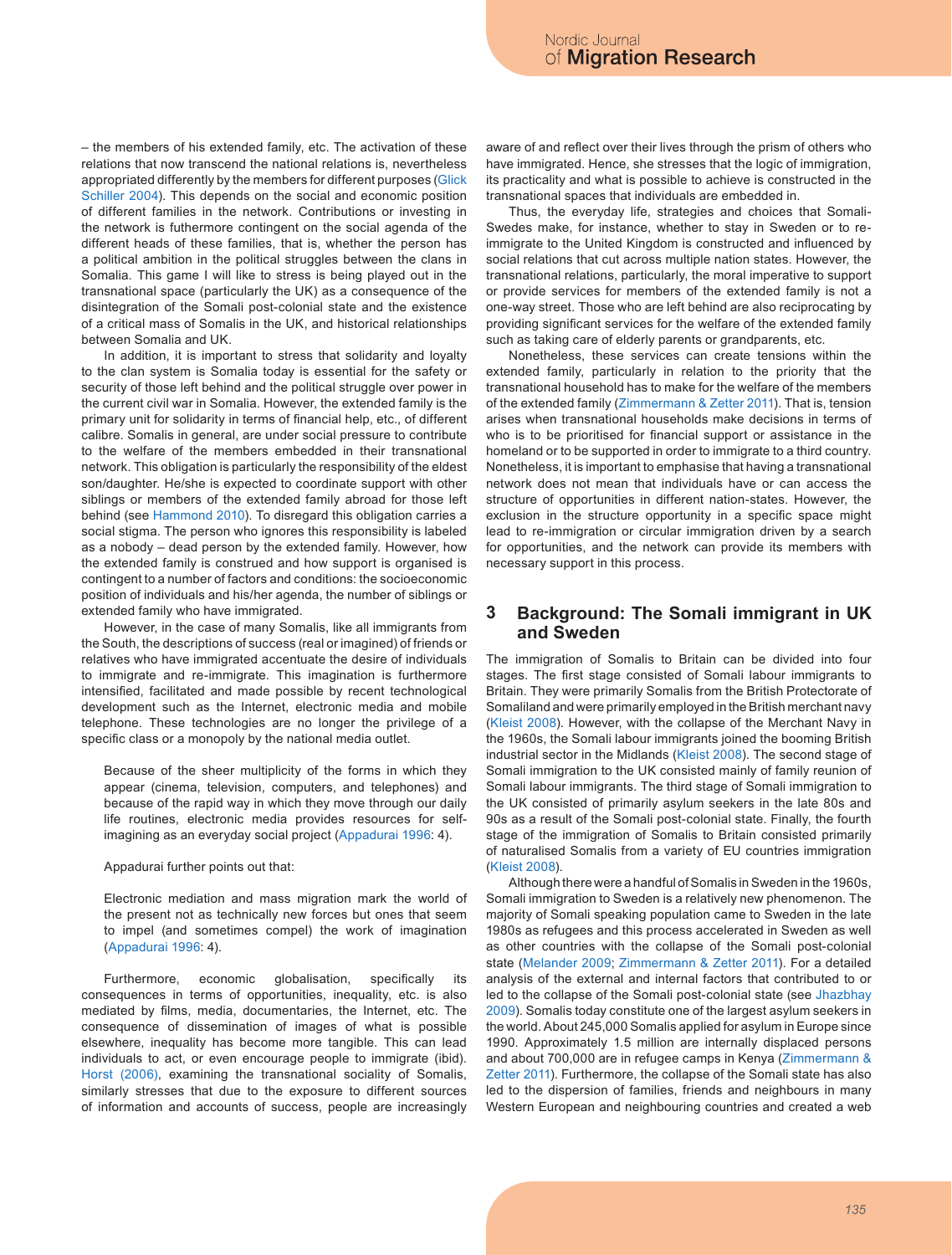– the members of his extended family, etc. The activation of these relations that now transcend the national relations is, nevertheless appropriated differently by the members for different purposes [\(Glick](#page-7-4) [Schiller 2004\)](#page-7-4). This depends on the social and economic position of different families in the network. Contributions or investing in the network is futhermore contingent on the social agenda of the different heads of these families, that is, whether the person has a political ambition in the political struggles between the clans in Somalia. This game I will like to stress is being played out in the transnational space (particularly the UK) as a consequence of the disintegration of the Somali post-colonial state and the existence of a critical mass of Somalis in the UK, and historical relationships between Somalia and UK.

In addition, it is important to stress that solidarity and loyalty to the clan system is Somalia today is essential for the safety or security of those left behind and the political struggle over power in the current civil war in Somalia. However, the extended family is the primary unit for solidarity in terms of financial help, etc., of different calibre. Somalis in general, are under social pressure to contribute to the welfare of the members embedded in their transnational network. This obligation is particularly the responsibility of the eldest son/daughter. He/she is expected to coordinate support with other siblings or members of the extended family abroad for those left behind (see [Hammond 2010](#page-7-12)). To disregard this obligation carries a social stigma. The person who ignores this responsibility is labeled as a nobody – dead person by the extended family. However, how the extended family is construed and how support is organised is contingent to a number of factors and conditions: the socioeconomic position of individuals and his/her agenda, the number of siblings or extended family who have immigrated.

However, in the case of many Somalis, like all immigrants from the South, the descriptions of success (real or imagined) of friends or relatives who have immigrated accentuate the desire of individuals to immigrate and re-immigrate. This imagination is furthermore intensified, facilitated and made possible by recent technological development such as the Internet, electronic media and mobile telephone. These technologies are no longer the privilege of a specific class or a monopoly by the national media outlet.

Because of the sheer multiplicity of the forms in which they appear (cinema, television, computers, and telephones) and because of the rapid way in which they move through our daily life routines, electronic media provides resources for selfimagining as an everyday social project [\(Appadurai 199](#page-7-9)6: 4).

Appadurai further points out that:

Electronic mediation and mass migration mark the world of the present not as technically new forces but ones that seem to impel (and sometimes compel) the work of imagination ([Appadurai 199](#page-7-9)6: 4).

Furthermore, economic globalisation, specifically its consequences in terms of opportunities, inequality, etc. is also mediated by films, media, documentaries, the Internet, etc. The consequence of dissemination of images of what is possible elsewhere, inequality has become more tangible. This can lead individuals to act, or even encourage people to immigrate (ibid). [Horst \(2006\),](#page-7-13) examining the transnational sociality of Somalis, similarly stresses that due to the exposure to different sources of information and accounts of success, people are increasingly

aware of and reflect over their lives through the prism of others who have immigrated. Hence, she stresses that the logic of immigration, its practicality and what is possible to achieve is constructed in the transnational spaces that individuals are embedded in.

Thus, the everyday life, strategies and choices that Somali-Swedes make, for instance, whether to stay in Sweden or to reimmigrate to the United Kingdom is constructed and influenced by social relations that cut across multiple nation states. However, the transnational relations, particularly, the moral imperative to support or provide services for members of the extended family is not a one-way street. Those who are left behind are also reciprocating by providing significant services for the welfare of the extended family such as taking care of elderly parents or grandparents, etc.

Nonetheless, these services can create tensions within the extended family, particularly in relation to the priority that the transnational household has to make for the welfare of the members of the extended family [\(Zimmermann & Zetter 2011](#page-7-2)). That is, tension arises when transnational households make decisions in terms of who is to be prioritised for financial support or assistance in the homeland or to be supported in order to immigrate to a third country. Nonetheless, it is important to emphasise that having a transnational network does not mean that individuals have or can access the structure of opportunities in different nation-states. However, the exclusion in the structure opportunity in a specific space might lead to re-immigration or circular immigration driven by a search for opportunities, and the network can provide its members with necessary support in this process.

#### **3 Background: The Somali immigrant in UK and Sweden**

The immigration of Somalis to Britain can be divided into four stages. The first stage consisted of Somali labour immigrants to Britain. They were primarily Somalis from the British Protectorate of Somaliland and were primarily employed in the British merchant navy ([Kleist 2008](#page-7-14)). However, with the collapse of the Merchant Navy in the 1960s, the Somali labour immigrants joined the booming British industrial sector in the Midlands ([Kleist 2008](#page-7-14)). The second stage of Somali immigration to the UK consisted mainly of family reunion of Somali labour immigrants. The third stage of Somali immigration to the UK consisted of primarily asylum seekers in the late 80s and 90s as a result of the Somali post-colonial state. Finally, the fourth stage of the immigration of Somalis to Britain consisted primarily of naturalised Somalis from a variety of EU countries immigration ([Kleist 2008](#page-7-14)).

Although there were a handful of Somalis in Sweden in the 1960s, Somali immigration to Sweden is a relatively new phenomenon. The majority of Somali speaking population came to Sweden in the late 1980s as refugees and this process accelerated in Sweden as well as other countries with the collapse of the Somali post-colonial state [\(Melander 200](#page-7-5)9; [Zimmermann & Zetter 2011](#page-7-2)). For a detailed analysis of the external and internal factors that contributed to or led to the collapse of the Somali post-colonial state (see [Jhazbhay](#page-7-15) [200](#page-7-15)9). Somalis today constitute one of the largest asylum seekers in the world. About 245,000 Somalis applied for asylum in Europe since 1990. Approximately 1.5 million are internally displaced persons and about 700,000 are in refugee camps in Kenya ([Zimmermann &](#page-7-2) [Zetter 2011](#page-7-2)). Furthermore, the collapse of the Somali state has also led to the dispersion of families, friends and neighbours in many Western European and neighbouring countries and created a web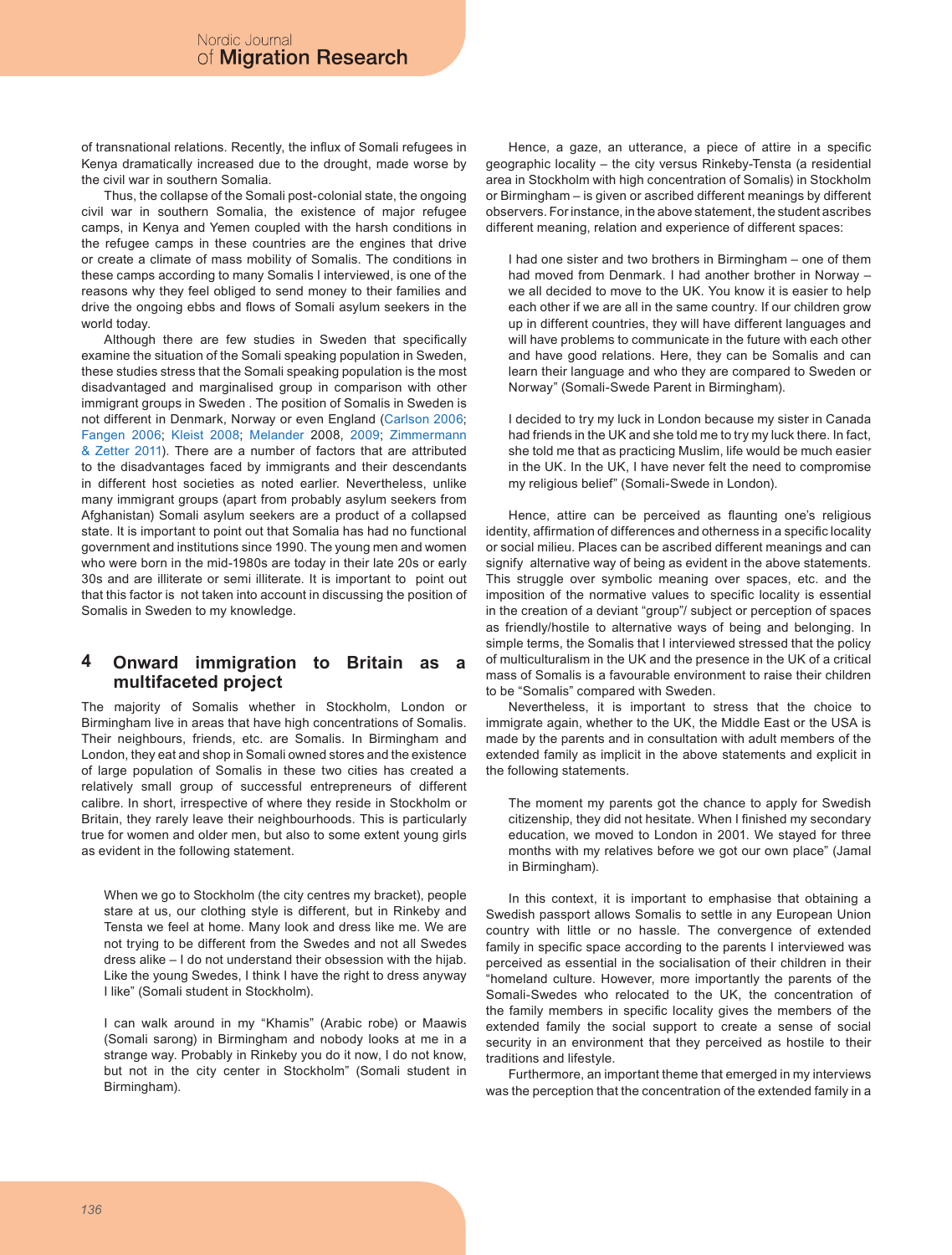of transnational relations. Recently, the influx of Somali refugees in Kenya dramatically increased due to the drought, made worse by the civil war in southern Somalia.

Thus, the collapse of the Somali post-colonial state, the ongoing civil war in southern Somalia, the existence of major refugee camps, in Kenya and Yemen coupled with the harsh conditions in the refugee camps in these countries are the engines that drive or create a climate of mass mobility of Somalis. The conditions in these camps according to many Somalis I interviewed, is one of the reasons why they feel obliged to send money to their families and drive the ongoing ebbs and flows of Somali asylum seekers in the world today.

Although there are few studies in Sweden that specifically examine the situation of the Somali speaking population in Sweden, these studies stress that the Somali speaking population is the most disadvantaged and marginalised group in comparison with other immigrant groups in Sweden . The position of Somalis in Sweden is not different in Denmark, Norway or even England [\(Carlson 200](#page-7-16)6; [Fangen 200](#page-7-1)6; [Kleist 2008](#page-7-14); [Melande](#page-7-5)r 2008, [200](#page-7-5)9; [Zimmermann](#page-7-2) [& Zetter 2011](#page-7-2)). There are a number of factors that are attributed to the disadvantages faced by immigrants and their descendants in different host societies as noted earlier. Nevertheless, unlike many immigrant groups (apart from probably asylum seekers from Afghanistan) Somali asylum seekers are a product of a collapsed state. It is important to point out that Somalia has had no functional government and institutions since 1990. The young men and women who were born in the mid-1980s are today in their late 20s or early 30s and are illiterate or semi illiterate. It is important to point out that this factor is not taken into account in discussing the position of Somalis in Sweden to my knowledge.

#### **4 Onward immigration to Britain as a multifaceted project**

The majority of Somalis whether in Stockholm, London or Birmingham live in areas that have high concentrations of Somalis. Their neighbours, friends, etc. are Somalis. In Birmingham and London, they eat and shop in Somali owned stores and the existence of large population of Somalis in these two cities has created a relatively small group of successful entrepreneurs of different calibre. In short, irrespective of where they reside in Stockholm or Britain, they rarely leave their neighbourhoods. This is particularly true for women and older men, but also to some extent young girls as evident in the following statement.

When we go to Stockholm (the city centres my bracket), people stare at us, our clothing style is different, but in Rinkeby and Tensta we feel at home. Many look and dress like me. We are not trying to be different from the Swedes and not all Swedes dress alike – I do not understand their obsession with the hijab. Like the young Swedes, I think I have the right to dress anyway I like" (Somali student in Stockholm).

I can walk around in my "Khamis" (Arabic robe) or Maawis (Somali sarong) in Birmingham and nobody looks at me in a strange way. Probably in Rinkeby you do it now, I do not know, but not in the city center in Stockholm" (Somali student in Birmingham).

Hence, a gaze, an utterance, a piece of attire in a specific geographic locality – the city versus Rinkeby-Tensta (a residential area in Stockholm with high concentration of Somalis) in Stockholm or Birmingham – is given or ascribed different meanings by different observers. For instance, in the above statement, the student ascribes different meaning, relation and experience of different spaces:

I had one sister and two brothers in Birmingham – one of them had moved from Denmark. I had another brother in Norway – we all decided to move to the UK. You know it is easier to help each other if we are all in the same country. If our children grow up in different countries, they will have different languages and will have problems to communicate in the future with each other and have good relations. Here, they can be Somalis and can learn their language and who they are compared to Sweden or Norway" (Somali-Swede Parent in Birmingham).

I decided to try my luck in London because my sister in Canada had friends in the UK and she told me to try my luck there. In fact, she told me that as practicing Muslim, life would be much easier in the UK. In the UK, I have never felt the need to compromise my religious belief" (Somali-Swede in London).

Hence, attire can be perceived as flaunting one's religious identity, affirmation of differences and otherness in a specific locality or social milieu. Places can be ascribed different meanings and can signify alternative way of being as evident in the above statements. This struggle over symbolic meaning over spaces, etc. and the imposition of the normative values to specific locality is essential in the creation of a deviant "group"/ subject or perception of spaces as friendly/hostile to alternative ways of being and belonging. In simple terms, the Somalis that I interviewed stressed that the policy of multiculturalism in the UK and the presence in the UK of a critical mass of Somalis is a favourable environment to raise their children to be "Somalis" compared with Sweden.

Nevertheless, it is important to stress that the choice to immigrate again, whether to the UK, the Middle East or the USA is made by the parents and in consultation with adult members of the extended family as implicit in the above statements and explicit in the following statements.

The moment my parents got the chance to apply for Swedish citizenship, they did not hesitate. When I finished my secondary education, we moved to London in 2001. We stayed for three months with my relatives before we got our own place" (Jamal in Birmingham).

In this context, it is important to emphasise that obtaining a Swedish passport allows Somalis to settle in any European Union country with little or no hassle. The convergence of extended family in specific space according to the parents I interviewed was perceived as essential in the socialisation of their children in their "homeland culture. However, more importantly the parents of the Somali-Swedes who relocated to the UK, the concentration of the family members in specific locality gives the members of the extended family the social support to create a sense of social security in an environment that they perceived as hostile to their traditions and lifestyle.

Furthermore, an important theme that emerged in my interviews was the perception that the concentration of the extended family in a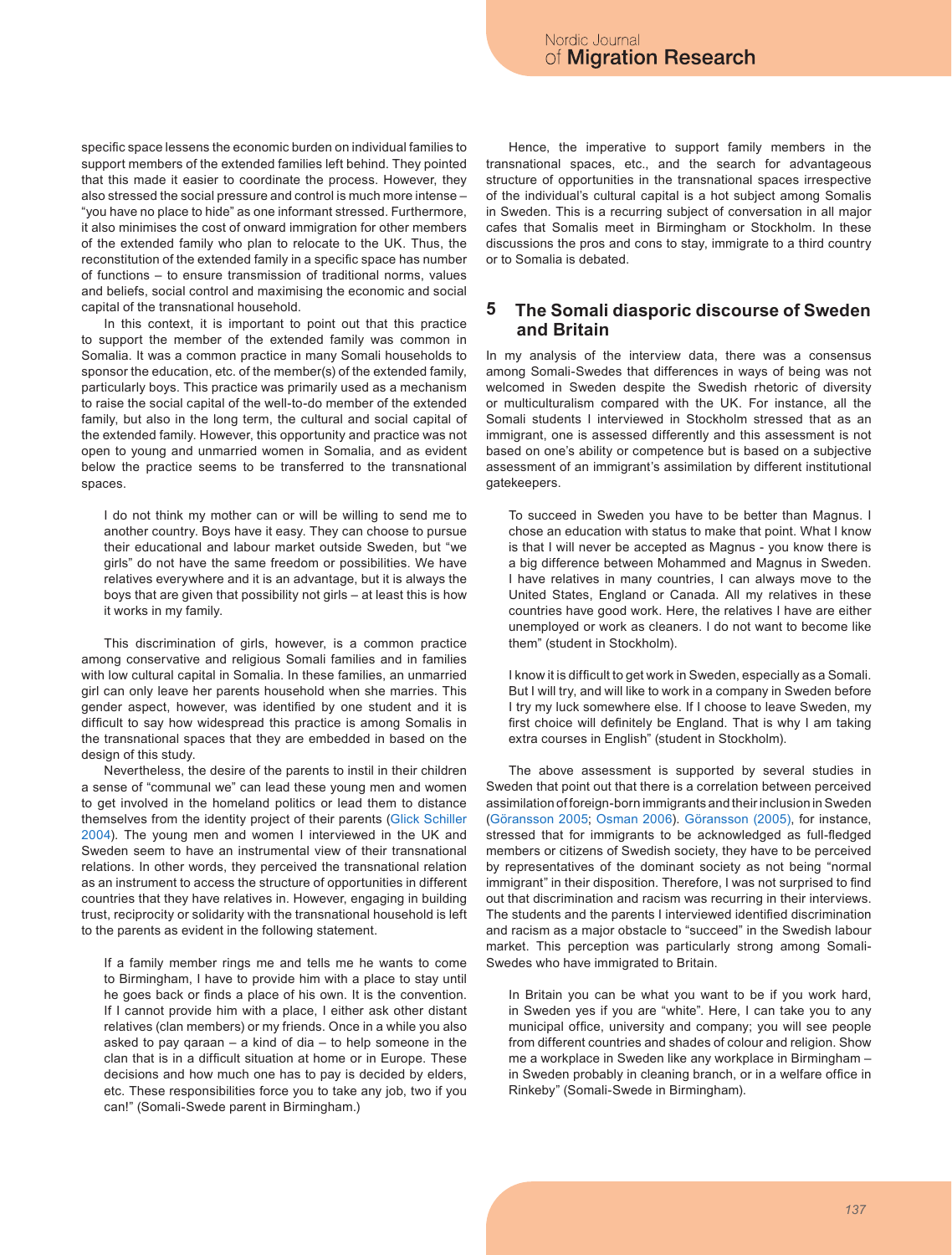specific space lessens the economic burden on individual families to support members of the extended families left behind. They pointed that this made it easier to coordinate the process. However, they also stressed the social pressure and control is much more intense – "you have no place to hide" as one informant stressed. Furthermore, it also minimises the cost of onward immigration for other members of the extended family who plan to relocate to the UK. Thus, the reconstitution of the extended family in a specific space has number of functions – to ensure transmission of traditional norms, values and beliefs, social control and maximising the economic and social capital of the transnational household.

In this context, it is important to point out that this practice to support the member of the extended family was common in Somalia. It was a common practice in many Somali households to sponsor the education, etc. of the member(s) of the extended family, particularly boys. This practice was primarily used as a mechanism to raise the social capital of the well-to-do member of the extended family, but also in the long term, the cultural and social capital of the extended family. However, this opportunity and practice was not open to young and unmarried women in Somalia, and as evident below the practice seems to be transferred to the transnational spaces.

I do not think my mother can or will be willing to send me to another country. Boys have it easy. They can choose to pursue their educational and labour market outside Sweden, but "we girls" do not have the same freedom or possibilities. We have relatives everywhere and it is an advantage, but it is always the boys that are given that possibility not girls – at least this is how it works in my family.

This discrimination of girls, however, is a common practice among conservative and religious Somali families and in families with low cultural capital in Somalia. In these families, an unmarried girl can only leave her parents household when she marries. This gender aspect, however, was identified by one student and it is difficult to say how widespread this practice is among Somalis in the transnational spaces that they are embedded in based on the design of this study.

Nevertheless, the desire of the parents to instil in their children a sense of "communal we" can lead these young men and women to get involved in the homeland politics or lead them to distance themselves from the identity project of their parents [\(Glick Schiller](#page-7-4) [2004](#page-7-4)). The young men and women I interviewed in the UK and Sweden seem to have an instrumental view of their transnational relations. In other words, they perceived the transnational relation as an instrument to access the structure of opportunities in different countries that they have relatives in. However, engaging in building trust, reciprocity or solidarity with the transnational household is left to the parents as evident in the following statement.

If a family member rings me and tells me he wants to come to Birmingham, I have to provide him with a place to stay until he goes back or finds a place of his own. It is the convention. If I cannot provide him with a place, I either ask other distant relatives (clan members) or my friends. Once in a while you also asked to pay qaraan  $-$  a kind of dia  $-$  to help someone in the clan that is in a difficult situation at home or in Europe. These decisions and how much one has to pay is decided by elders, etc. These responsibilities force you to take any job, two if you can!" (Somali-Swede parent in Birmingham.)

Hence, the imperative to support family members in the transnational spaces, etc., and the search for advantageous structure of opportunities in the transnational spaces irrespective of the individual's cultural capital is a hot subject among Somalis in Sweden. This is a recurring subject of conversation in all major cafes that Somalis meet in Birmingham or Stockholm. In these discussions the pros and cons to stay, immigrate to a third country or to Somalia is debated.

#### **5 The Somali diasporic discourse of Sweden and Britain**

In my analysis of the interview data, there was a consensus among Somali-Swedes that differences in ways of being was not welcomed in Sweden despite the Swedish rhetoric of diversity or multiculturalism compared with the UK. For instance, all the Somali students I interviewed in Stockholm stressed that as an immigrant, one is assessed differently and this assessment is not based on one's ability or competence but is based on a subjective assessment of an immigrant's assimilation by different institutional gatekeepers.

To succeed in Sweden you have to be better than Magnus. I chose an education with status to make that point. What I know is that I will never be accepted as Magnus - you know there is a big difference between Mohammed and Magnus in Sweden. I have relatives in many countries, I can always move to the United States, England or Canada. All my relatives in these countries have good work. Here, the relatives I have are either unemployed or work as cleaners. I do not want to become like them" (student in Stockholm).

I know it is difficult to get work in Sweden, especially as a Somali. But I will try, and will like to work in a company in Sweden before I try my luck somewhere else. If I choose to leave Sweden, my first choice will definitely be England. That is why I am taking extra courses in English" (student in Stockholm).

The above assessment is supported by several studies in Sweden that point out that there is a correlation between perceived assimilation of foreign-born immigrants and their inclusion in Sweden ([Göransson 2005](#page-7-17); [Osman 200](#page-7-0)6). [Göransson \(2005\),](#page-7-17) for instance, stressed that for immigrants to be acknowledged as full-fledged members or citizens of Swedish society, they have to be perceived by representatives of the dominant society as not being "normal immigrant" in their disposition. Therefore, I was not surprised to find out that discrimination and racism was recurring in their interviews. The students and the parents I interviewed identified discrimination and racism as a major obstacle to "succeed" in the Swedish labour market. This perception was particularly strong among Somali-Swedes who have immigrated to Britain.

In Britain you can be what you want to be if you work hard, in Sweden yes if you are "white". Here, I can take you to any municipal office, university and company; you will see people from different countries and shades of colour and religion. Show me a workplace in Sweden like any workplace in Birmingham – in Sweden probably in cleaning branch, or in a welfare office in Rinkeby" (Somali-Swede in Birmingham).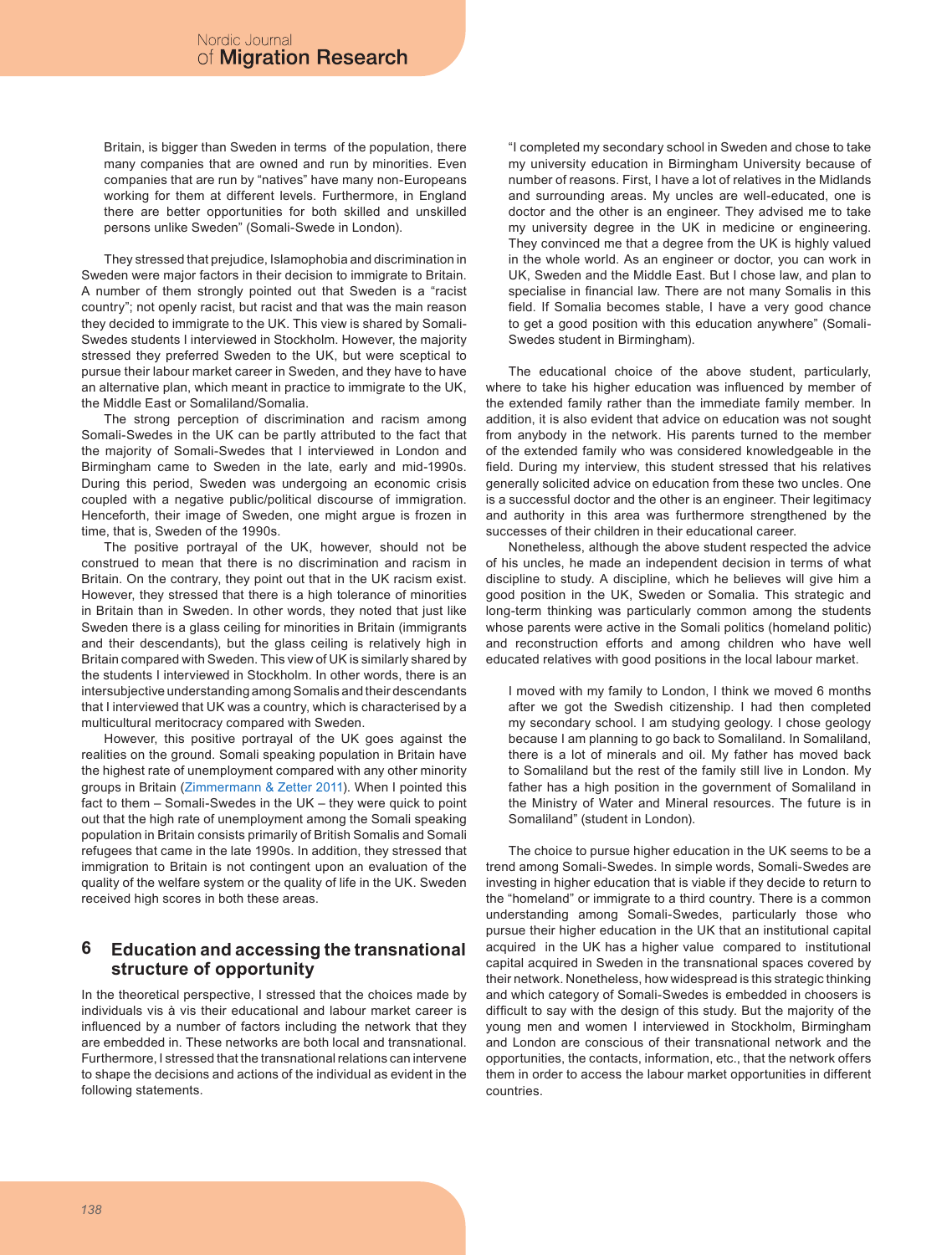Britain, is bigger than Sweden in terms of the population, there many companies that are owned and run by minorities. Even companies that are run by "natives" have many non-Europeans working for them at different levels. Furthermore, in England there are better opportunities for both skilled and unskilled persons unlike Sweden" (Somali-Swede in London).

They stressed that prejudice, Islamophobia and discrimination in Sweden were major factors in their decision to immigrate to Britain. A number of them strongly pointed out that Sweden is a "racist country"; not openly racist, but racist and that was the main reason they decided to immigrate to the UK. This view is shared by Somali-Swedes students I interviewed in Stockholm. However, the majority stressed they preferred Sweden to the UK, but were sceptical to pursue their labour market career in Sweden, and they have to have an alternative plan, which meant in practice to immigrate to the UK, the Middle East or Somaliland/Somalia.

The strong perception of discrimination and racism among Somali-Swedes in the UK can be partly attributed to the fact that the majority of Somali-Swedes that I interviewed in London and Birmingham came to Sweden in the late, early and mid-1990s. During this period, Sweden was undergoing an economic crisis coupled with a negative public/political discourse of immigration. Henceforth, their image of Sweden, one might argue is frozen in time, that is, Sweden of the 1990s.

The positive portrayal of the UK, however, should not be construed to mean that there is no discrimination and racism in Britain. On the contrary, they point out that in the UK racism exist. However, they stressed that there is a high tolerance of minorities in Britain than in Sweden. In other words, they noted that just like Sweden there is a glass ceiling for minorities in Britain (immigrants and their descendants), but the glass ceiling is relatively high in Britain compared with Sweden. This view of UK is similarly shared by the students I interviewed in Stockholm. In other words, there is an intersubjective understanding among Somalis and their descendants that I interviewed that UK was a country, which is characterised by a multicultural meritocracy compared with Sweden.

However, this positive portrayal of the UK goes against the realities on the ground. Somali speaking population in Britain have the highest rate of unemployment compared with any other minority groups in Britain ([Zimmermann & Zetter 2011](#page-7-2)). When I pointed this fact to them – Somali-Swedes in the UK – they were quick to point out that the high rate of unemployment among the Somali speaking population in Britain consists primarily of British Somalis and Somali refugees that came in the late 1990s. In addition, they stressed that immigration to Britain is not contingent upon an evaluation of the quality of the welfare system or the quality of life in the UK. Sweden received high scores in both these areas.

#### **6 Education and accessing the transnational structure of opportunity**

In the theoretical perspective, I stressed that the choices made by individuals vis à vis their educational and labour market career is influenced by a number of factors including the network that they are embedded in. These networks are both local and transnational. Furthermore, I stressed that the transnational relations can intervene to shape the decisions and actions of the individual as evident in the following statements.

"I completed my secondary school in Sweden and chose to take my university education in Birmingham University because of number of reasons. First, I have a lot of relatives in the Midlands and surrounding areas. My uncles are well-educated, one is doctor and the other is an engineer. They advised me to take my university degree in the UK in medicine or engineering. They convinced me that a degree from the UK is highly valued in the whole world. As an engineer or doctor, you can work in UK, Sweden and the Middle East. But I chose law, and plan to specialise in financial law. There are not many Somalis in this field. If Somalia becomes stable, I have a very good chance to get a good position with this education anywhere" (Somali-Swedes student in Birmingham).

The educational choice of the above student, particularly, where to take his higher education was influenced by member of the extended family rather than the immediate family member. In addition, it is also evident that advice on education was not sought from anybody in the network. His parents turned to the member of the extended family who was considered knowledgeable in the field. During my interview, this student stressed that his relatives generally solicited advice on education from these two uncles. One is a successful doctor and the other is an engineer. Their legitimacy and authority in this area was furthermore strengthened by the successes of their children in their educational career.

Nonetheless, although the above student respected the advice of his uncles, he made an independent decision in terms of what discipline to study. A discipline, which he believes will give him a good position in the UK, Sweden or Somalia. This strategic and long-term thinking was particularly common among the students whose parents were active in the Somali politics (homeland politic) and reconstruction efforts and among children who have well educated relatives with good positions in the local labour market.

I moved with my family to London, I think we moved 6 months after we got the Swedish citizenship. I had then completed my secondary school. I am studying geology. I chose geology because I am planning to go back to Somaliland. In Somaliland, there is a lot of minerals and oil. My father has moved back to Somaliland but the rest of the family still live in London. My father has a high position in the government of Somaliland in the Ministry of Water and Mineral resources. The future is in Somaliland" (student in London).

The choice to pursue higher education in the UK seems to be a trend among Somali-Swedes. In simple words, Somali-Swedes are investing in higher education that is viable if they decide to return to the "homeland" or immigrate to a third country. There is a common understanding among Somali-Swedes, particularly those who pursue their higher education in the UK that an institutional capital acquired in the UK has a higher value compared to institutional capital acquired in Sweden in the transnational spaces covered by their network. Nonetheless, how widespread is this strategic thinking and which category of Somali-Swedes is embedded in choosers is difficult to say with the design of this study. But the majority of the young men and women I interviewed in Stockholm, Birmingham and London are conscious of their transnational network and the opportunities, the contacts, information, etc., that the network offers them in order to access the labour market opportunities in different countries.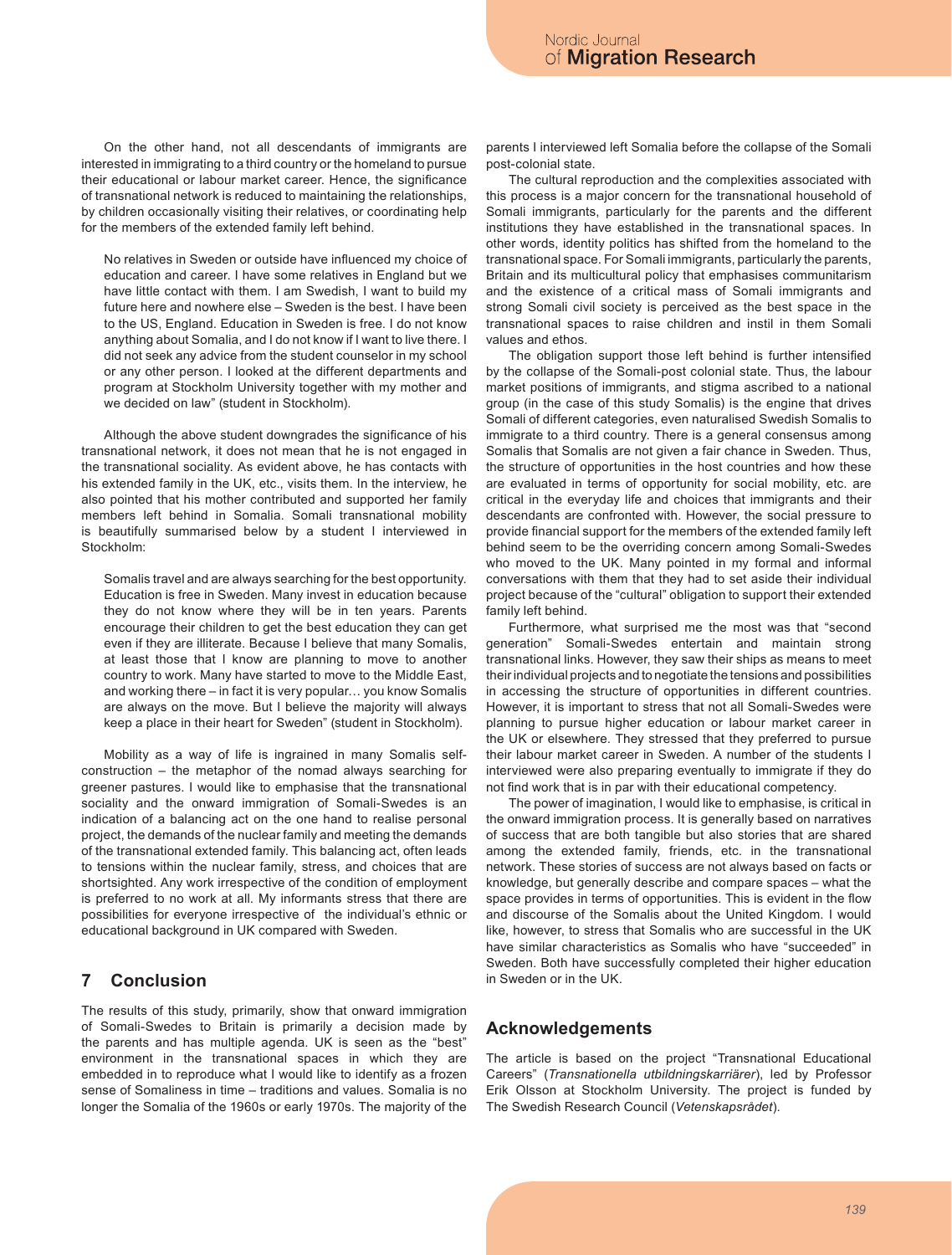On the other hand, not all descendants of immigrants are interested in immigrating to a third country or the homeland to pursue their educational or labour market career. Hence, the significance of transnational network is reduced to maintaining the relationships, by children occasionally visiting their relatives, or coordinating help for the members of the extended family left behind.

No relatives in Sweden or outside have influenced my choice of education and career. I have some relatives in England but we have little contact with them. I am Swedish, I want to build my future here and nowhere else – Sweden is the best. I have been to the US, England. Education in Sweden is free. I do not know anything about Somalia, and I do not know if I want to live there. I did not seek any advice from the student counselor in my school or any other person. I looked at the different departments and program at Stockholm University together with my mother and we decided on law" (student in Stockholm).

Although the above student downgrades the significance of his transnational network, it does not mean that he is not engaged in the transnational sociality. As evident above, he has contacts with his extended family in the UK, etc., visits them. In the interview, he also pointed that his mother contributed and supported her family members left behind in Somalia. Somali transnational mobility is beautifully summarised below by a student I interviewed in Stockholm:

Somalis travel and are always searching for the best opportunity. Education is free in Sweden. Many invest in education because they do not know where they will be in ten years. Parents encourage their children to get the best education they can get even if they are illiterate. Because I believe that many Somalis, at least those that I know are planning to move to another country to work. Many have started to move to the Middle East, and working there – in fact it is very popular… you know Somalis are always on the move. But I believe the majority will always keep a place in their heart for Sweden" (student in Stockholm).

Mobility as a way of life is ingrained in many Somalis selfconstruction – the metaphor of the nomad always searching for greener pastures. I would like to emphasise that the transnational sociality and the onward immigration of Somali-Swedes is an indication of a balancing act on the one hand to realise personal project, the demands of the nuclear family and meeting the demands of the transnational extended family. This balancing act, often leads to tensions within the nuclear family, stress, and choices that are shortsighted. Any work irrespective of the condition of employment is preferred to no work at all. My informants stress that there are possibilities for everyone irrespective of the individual's ethnic or educational background in UK compared with Sweden.

## **7 Conclusion**

The results of this study, primarily, show that onward immigration of Somali-Swedes to Britain is primarily a decision made by the parents and has multiple agenda. UK is seen as the "best" environment in the transnational spaces in which they are embedded in to reproduce what I would like to identify as a frozen sense of Somaliness in time – traditions and values. Somalia is no longer the Somalia of the 1960s or early 1970s. The majority of the parents I interviewed left Somalia before the collapse of the Somali post-colonial state.

The cultural reproduction and the complexities associated with this process is a major concern for the transnational household of Somali immigrants, particularly for the parents and the different institutions they have established in the transnational spaces. In other words, identity politics has shifted from the homeland to the transnational space. For Somali immigrants, particularly the parents, Britain and its multicultural policy that emphasises communitarism and the existence of a critical mass of Somali immigrants and strong Somali civil society is perceived as the best space in the transnational spaces to raise children and instil in them Somali values and ethos.

The obligation support those left behind is further intensified by the collapse of the Somali-post colonial state. Thus, the labour market positions of immigrants, and stigma ascribed to a national group (in the case of this study Somalis) is the engine that drives Somali of different categories, even naturalised Swedish Somalis to immigrate to a third country. There is a general consensus among Somalis that Somalis are not given a fair chance in Sweden. Thus, the structure of opportunities in the host countries and how these are evaluated in terms of opportunity for social mobility, etc. are critical in the everyday life and choices that immigrants and their descendants are confronted with. However, the social pressure to provide financial support for the members of the extended family left behind seem to be the overriding concern among Somali-Swedes who moved to the UK. Many pointed in my formal and informal conversations with them that they had to set aside their individual project because of the "cultural" obligation to support their extended family left behind.

Furthermore, what surprised me the most was that "second generation" Somali-Swedes entertain and maintain strong transnational links. However, they saw their ships as means to meet their individual projects and to negotiate the tensions and possibilities in accessing the structure of opportunities in different countries. However, it is important to stress that not all Somali-Swedes were planning to pursue higher education or labour market career in the UK or elsewhere. They stressed that they preferred to pursue their labour market career in Sweden. A number of the students I interviewed were also preparing eventually to immigrate if they do not find work that is in par with their educational competency.

The power of imagination, I would like to emphasise, is critical in the onward immigration process. It is generally based on narratives of success that are both tangible but also stories that are shared among the extended family, friends, etc. in the transnational network. These stories of success are not always based on facts or knowledge, but generally describe and compare spaces – what the space provides in terms of opportunities. This is evident in the flow and discourse of the Somalis about the United Kingdom. I would like, however, to stress that Somalis who are successful in the UK have similar characteristics as Somalis who have "succeeded" in Sweden. Both have successfully completed their higher education in Sweden or in the UK.

### **Acknowledgements**

The article is based on the project "Transnational Educational Careers" (*Transnationella utbildningskarriärer*), led by Professor Erik Olsson at Stockholm University. The project is funded by The Swedish Research Council (*Vetenskapsrådet*).